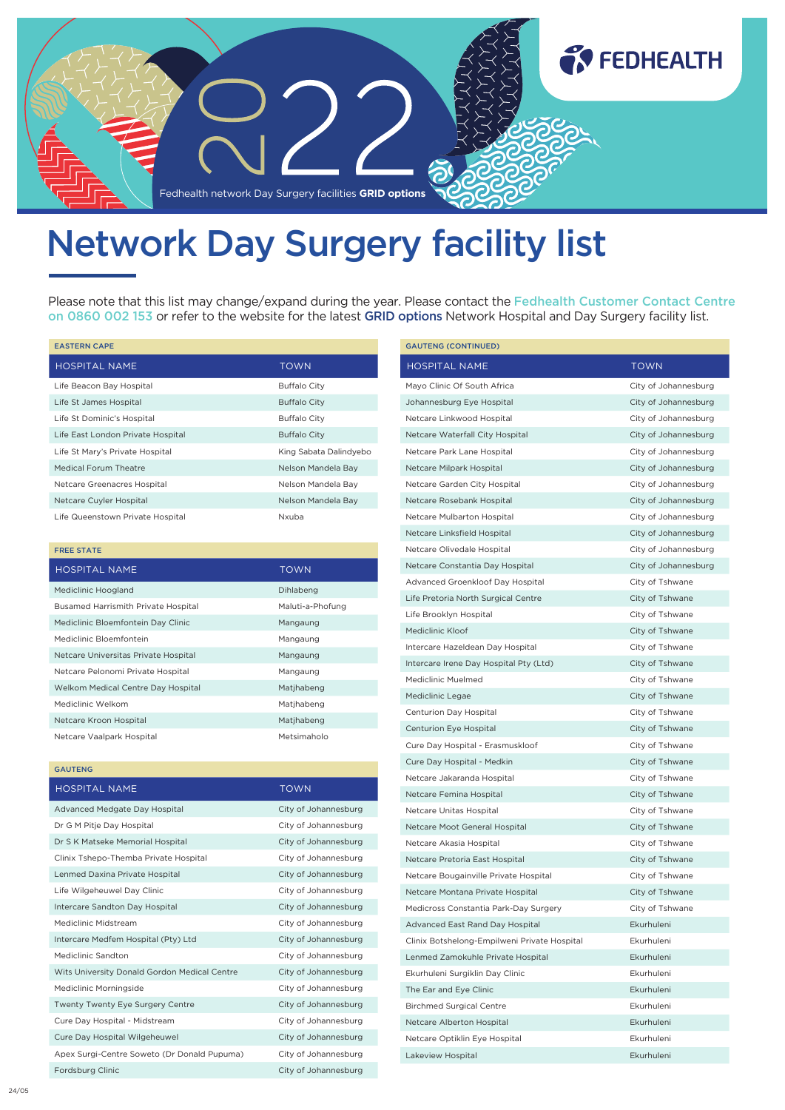

## Network Day Surgery facility list

Please note that this list may change/expand during the year. Please contact the Fedhealth Customer Contact Centre on 0860 002 153 or refer to the website for the latest GRID options Network Hospital and Day Surgery facility list.

| <b>EASTERN CAPE</b>               |                        |
|-----------------------------------|------------------------|
| <b>HOSPITAL NAME</b>              | <b>TOWN</b>            |
| Life Beacon Bay Hospital          | <b>Buffalo City</b>    |
| Life St James Hospital            | <b>Buffalo City</b>    |
| Life St Dominic's Hospital        | <b>Buffalo City</b>    |
| Life East London Private Hospital | <b>Buffalo City</b>    |
| Life St Mary's Private Hospital   | King Sabata Dalindyebo |
| Medical Forum Theatre             | Nelson Mandela Bay     |
| Netcare Greenacres Hospital       | Nelson Mandela Bay     |
| Netcare Cuyler Hospital           | Nelson Mandela Bay     |
| Life Queenstown Private Hospital  | Nxuba                  |

| <b>FREE STATE</b>                          |                  |
|--------------------------------------------|------------------|
| <b>HOSPITAL NAME</b>                       | <b>TOWN</b>      |
| Mediclinic Hoogland                        | Dihlabeng        |
| <b>Busamed Harrismith Private Hospital</b> | Maluti-a-Phofung |
| Mediclinic Bloemfontein Day Clinic         | Mangaung         |
| Mediclinic Bloemfontein                    | Mangaung         |
| Netcare Universitas Private Hospital       | Mangaung         |
| Netcare Pelonomi Private Hospital          | Mangaung         |
| Welkom Medical Centre Day Hospital         | Matjhabeng       |
| Mediclinic Welkom                          | Matjhabeng       |
| Netcare Kroon Hospital                     | Matjhabeng       |
| Netcare Vaalpark Hospital                  | Metsimaholo      |

GAUTENG

| <b>HOSPITAL NAME</b>                         | <b>TOWN</b>          |
|----------------------------------------------|----------------------|
| Advanced Medgate Day Hospital                | City of Johannesburg |
| Dr G M Pitje Day Hospital                    | City of Johannesburg |
| Dr S K Matseke Memorial Hospital             | City of Johannesburg |
| Clinix Tshepo-Themba Private Hospital        | City of Johannesburg |
| Lenmed Daxina Private Hospital               | City of Johannesburg |
| Life Wilgeheuwel Day Clinic                  | City of Johannesburg |
| Intercare Sandton Day Hospital               | City of Johannesburg |
| Mediclinic Midstream                         | City of Johannesburg |
| Intercare Medfem Hospital (Pty) Ltd          | City of Johannesburg |
| Mediclinic Sandton                           | City of Johannesburg |
| Wits University Donald Gordon Medical Centre | City of Johannesburg |
| Mediclinic Morningside                       | City of Johannesburg |
| <b>Twenty Twenty Eye Surgery Centre</b>      | City of Johannesburg |
| Cure Day Hospital - Midstream                | City of Johannesburg |
| Cure Day Hospital Wilgeheuwel                | City of Johannesburg |
| Apex Surgi-Centre Soweto (Dr Donald Pupuma)  | City of Johannesburg |
| Fordsburg Clinic                             | City of Johannesburg |

| <b>GAUTENG (CONTINUED)</b>                   |                      |
|----------------------------------------------|----------------------|
| <b>HOSPITAL NAME</b>                         | <b>TOWN</b>          |
| Mayo Clinic Of South Africa                  | City of Johannesburg |
| Johannesburg Eye Hospital                    | City of Johannesburg |
| Netcare Linkwood Hospital                    | City of Johannesburg |
| Netcare Waterfall City Hospital              | City of Johannesburg |
| Netcare Park Lane Hospital                   | City of Johannesburg |
| Netcare Milpark Hospital                     | City of Johannesburg |
| Netcare Garden City Hospital                 | City of Johannesburg |
| Netcare Rosebank Hospital                    | City of Johannesburg |
| Netcare Mulbarton Hospital                   | City of Johannesburg |
| Netcare Linksfield Hospital                  | City of Johannesburg |
| Netcare Olivedale Hospital                   | City of Johannesburg |
| Netcare Constantia Day Hospital              | City of Johannesburg |
| Advanced Groenkloof Day Hospital             | City of Tshwane      |
| Life Pretoria North Surgical Centre          | City of Tshwane      |
| Life Brooklyn Hospital                       | City of Tshwane      |
| Mediclinic Kloof                             | City of Tshwane      |
| Intercare Hazeldean Day Hospital             | City of Tshwane      |
| Intercare Irene Day Hospital Pty (Ltd)       | City of Tshwane      |
| Mediclinic Muelmed                           | City of Tshwane      |
| Mediclinic Legae                             | City of Tshwane      |
| Centurion Day Hospital                       | City of Tshwane      |
| Centurion Eye Hospital                       | City of Tshwane      |
| Cure Day Hospital - Erasmuskloof             | City of Tshwane      |
| Cure Day Hospital - Medkin                   | City of Tshwane      |
| Netcare Jakaranda Hospital                   | City of Tshwane      |
| Netcare Femina Hospital                      | City of Tshwane      |
| Netcare Unitas Hospital                      | City of Tshwane      |
| Netcare Moot General Hospital                | City of Tshwane      |
| Netcare Akasia Hospital                      | City of Tshwane      |
| Netcare Pretoria East Hospital               | City of Tshwane      |
| Netcare Bougainville Private Hospital        | City of Tshwane      |
| Netcare Montana Private Hospital             | City of Tshwane      |
| Medicross Constantia Park-Day Surgery        | City of Tshwane      |
| Advanced East Rand Day Hospital              | Ekurhuleni           |
| Clinix Botshelong-Empilweni Private Hospital | Ekurhuleni           |
| Lenmed Zamokuhle Private Hospital            | Ekurhuleni           |
| Ekurhuleni Surgiklin Day Clinic              | Ekurhuleni           |
| The Ear and Eye Clinic                       | Ekurhuleni           |
| <b>Birchmed Surgical Centre</b>              | Ekurhuleni           |
| Netcare Alberton Hospital                    | Ekurhuleni           |
| Netcare Optiklin Eye Hospital                | Ekurhuleni           |
| Lakeview Hospital                            | Ekurhuleni           |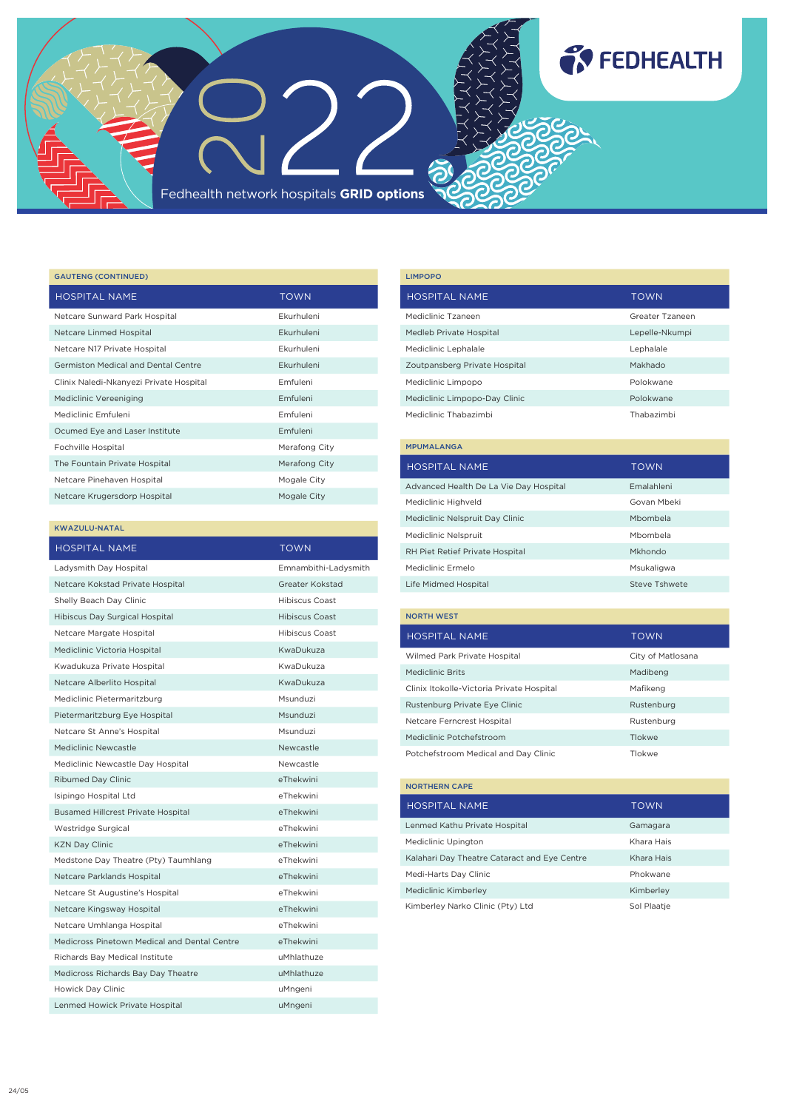

| <b>GAUTENG (CONTINUED)</b>              |                   |
|-----------------------------------------|-------------------|
| <b>HOSPITAL NAME</b>                    | <b>TOWN</b>       |
| Netcare Sunward Park Hospital           | Fkurhuleni        |
| Netcare Linmed Hospital                 | <b>Fkurhuleni</b> |
| Netcare N17 Private Hospital            | Fkurhuleni        |
| Germiston Medical and Dental Centre     | <b>Fkurhuleni</b> |
| Clinix Naledi-Nkanyezi Private Hospital | Emfuleni          |
| Mediclinic Vereeniging                  | Emfuleni          |
| Mediclinic Emfuleni                     | Emfuleni          |
| Ocumed Eye and Laser Institute          | Emfuleni          |
| Fochville Hospital                      | Merafong City     |
| The Fountain Private Hospital           | Merafong City     |
| Netcare Pinehaven Hospital              | Mogale City       |
| Netcare Krugersdorp Hospital            | Mogale City       |

## KWAZULU-NATAL

| <b>HOSPITAL NAME</b>                         | <b>TOWN</b>           |
|----------------------------------------------|-----------------------|
| Ladysmith Day Hospital                       | Emnambithi-Ladysmith  |
| Netcare Kokstad Private Hospital             | Greater Kokstad       |
| Shelly Beach Day Clinic                      | <b>Hibiscus Coast</b> |
| Hibiscus Day Surgical Hospital               | <b>Hibiscus Coast</b> |
| Netcare Margate Hospital                     | <b>Hibiscus Coast</b> |
| Mediclinic Victoria Hospital                 | KwaDukuza             |
| Kwadukuza Private Hospital                   | KwaDukuza             |
| Netcare Alberlito Hospital                   | KwaDukuza             |
| Mediclinic Pietermaritzburg                  | Msunduzi              |
| Pietermaritzburg Eye Hospital                | Msunduzi              |
| Netcare St Anne's Hospital                   | Msunduzi              |
| Mediclinic Newcastle                         | Newcastle             |
| Mediclinic Newcastle Day Hospital            | Newcastle             |
| Ribumed Day Clinic                           | eThekwini             |
| Isipingo Hospital Ltd                        | eThekwini             |
| <b>Busamed Hillcrest Private Hospital</b>    | eThekwini             |
| Westridge Surgical                           | eThekwini             |
| <b>KZN Day Clinic</b>                        | eThekwini             |
| Medstone Day Theatre (Pty) Taumhlang         | eThekwini             |
| Netcare Parklands Hospital                   | eThekwini             |
| Netcare St Augustine's Hospital              | eThekwini             |
| Netcare Kingsway Hospital                    | eThekwini             |
| Netcare Umhlanga Hospital                    | eThekwini             |
| Medicross Pinetown Medical and Dental Centre | eThekwini             |
| Richards Bay Medical Institute               | uMhlathuze            |
| Medicross Richards Bay Day Theatre           | uMhlathuze            |
| Howick Day Clinic                            | uMngeni               |
| Lenmed Howick Private Hospital               | uMngeni               |

| <b>LIMPOPO</b>                |                 |
|-------------------------------|-----------------|
| <b>HOSPITAL NAME</b>          | <b>TOWN</b>     |
| Mediclinic Tzaneen            | Greater Tzaneen |
| Medleb Private Hospital       | Lepelle-Nkumpi  |
| Mediclinic Lephalale          | Lephalale       |
| Zoutpansberg Private Hospital | Makhado         |
| Mediclinic Limpopo            | Polokwane       |
| Mediclinic Limpopo-Day Clinic | Polokwane       |
| Mediclinic Thabazimbi         | Thabazimbi      |
| <b>MPUMALANGA</b>             |                 |
|                               |                 |

| <b>HOSPITAL NAME</b>                   | <b>TOWN</b>          |
|----------------------------------------|----------------------|
| Advanced Health De La Vie Day Hospital | <b>Emalahleni</b>    |
| Mediclinic Highveld                    | Govan Mbeki          |
| Mediclinic Nelspruit Day Clinic        | Mbombela             |
| Mediclinic Nelspruit                   | Mbombela             |
| RH Piet Retief Private Hospital        | Mkhondo              |
| Mediclinic Ermelo                      | Msukaligwa           |
| Life Midmed Hospital                   | <b>Steve Tshwete</b> |

| <b>NORTH WEST</b>                         |                   |
|-------------------------------------------|-------------------|
| <b>HOSPITAL NAME</b>                      | <b>TOWN</b>       |
| Wilmed Park Private Hospital              | City of Matlosana |
| Mediclinic Brits                          | Madibeng          |
| Clinix Itokolle-Victoria Private Hospital | Mafikeng          |
| Rustenburg Private Eye Clinic             | Rustenburg        |
| Netcare Ferncrest Hospital                | Rustenburg        |
| Mediclinic Potchefstroom                  | Tlokwe            |
| Potchefstroom Medical and Day Clinic      | Tlokwe            |

| <b>NORTHERN CAPE</b>                         |             |
|----------------------------------------------|-------------|
| HOSPITAL NAME                                | TOWN        |
| Lenmed Kathu Private Hospital                | Gamagara    |
| Mediclinic Upington                          | Khara Hais  |
| Kalahari Day Theatre Cataract and Eye Centre | Khara Hais  |
| Medi-Harts Day Clinic                        | Phokwane    |
| Mediclinic Kimberley                         | Kimberley   |
| Kimberley Narko Clinic (Pty) Ltd             | Sol Plaatie |